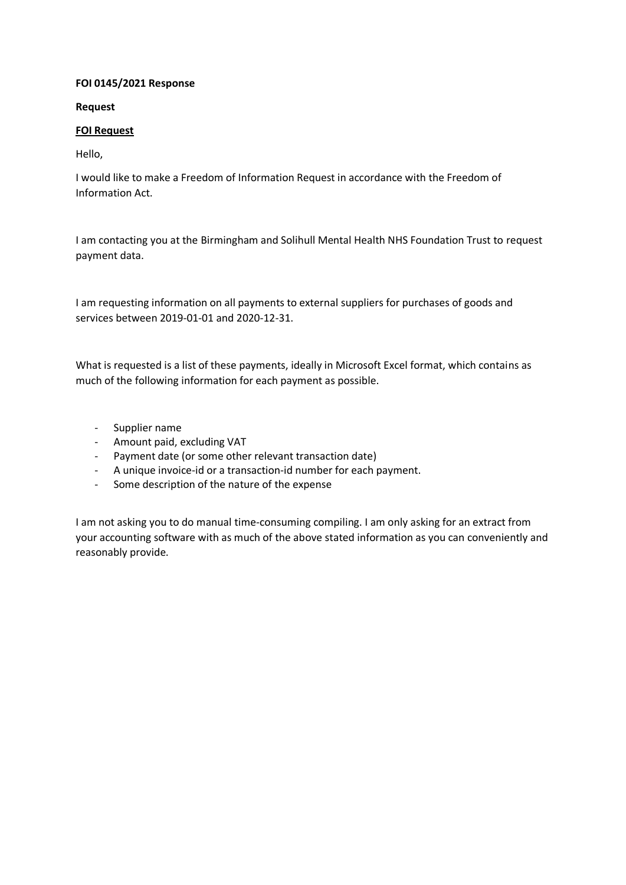## **FOI 0145/2021 Response**

**Request**

## **FOI Request**

Hello,

I would like to make a Freedom of Information Request in accordance with the Freedom of Information Act.

I am contacting you at the Birmingham and Solihull Mental Health NHS Foundation Trust to request payment data.

I am requesting information on all payments to external suppliers for purchases of goods and services between 2019-01-01 and 2020-12-31.

What is requested is a list of these payments, ideally in Microsoft Excel format, which contains as much of the following information for each payment as possible.

- Supplier name
- Amount paid, excluding VAT
- Payment date (or some other relevant transaction date)
- A unique invoice-id or a transaction-id number for each payment.
- Some description of the nature of the expense

I am not asking you to do manual time-consuming compiling. I am only asking for an extract from your accounting software with as much of the above stated information as you can conveniently and reasonably provide.